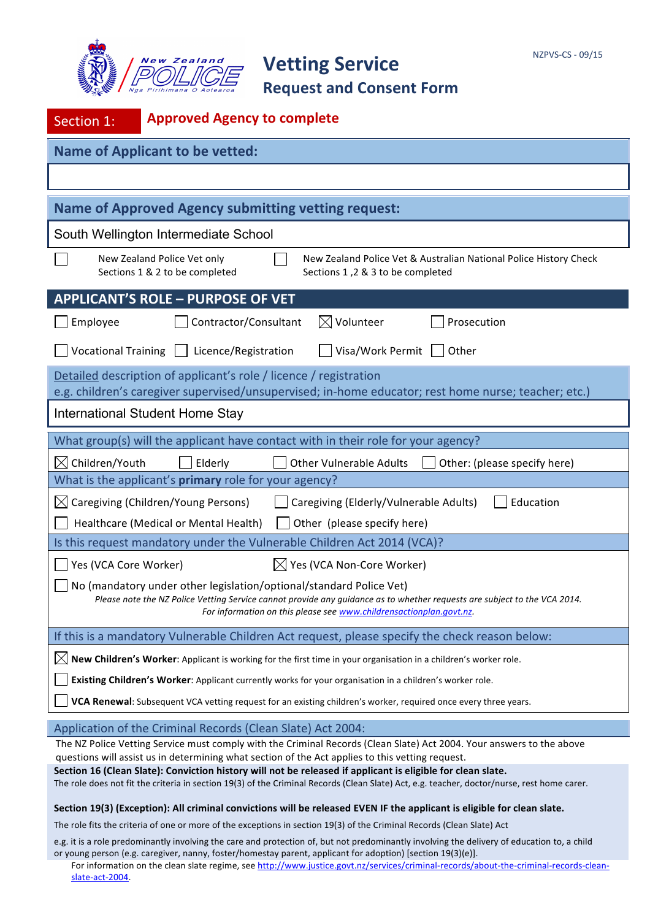



| Section 1:                                                                                                                                                                                                                                                              | <b>Approved Agency to complete</b>                                                                                                                                        |  |  |  |  |
|-------------------------------------------------------------------------------------------------------------------------------------------------------------------------------------------------------------------------------------------------------------------------|---------------------------------------------------------------------------------------------------------------------------------------------------------------------------|--|--|--|--|
| <b>Name of Applicant to be vetted:</b>                                                                                                                                                                                                                                  |                                                                                                                                                                           |  |  |  |  |
|                                                                                                                                                                                                                                                                         |                                                                                                                                                                           |  |  |  |  |
|                                                                                                                                                                                                                                                                         | <b>Name of Approved Agency submitting vetting request:</b>                                                                                                                |  |  |  |  |
|                                                                                                                                                                                                                                                                         | South Wellington Intermediate School                                                                                                                                      |  |  |  |  |
|                                                                                                                                                                                                                                                                         | New Zealand Police Vet only<br>New Zealand Police Vet & Australian National Police History Check<br>Sections 1 & 2 to be completed<br>Sections 1,2 & 3 to be completed    |  |  |  |  |
|                                                                                                                                                                                                                                                                         | <b>APPLICANT'S ROLE - PURPOSE OF VET</b>                                                                                                                                  |  |  |  |  |
| Employee                                                                                                                                                                                                                                                                | $\boxtimes$ Volunteer<br>Contractor/Consultant<br>Prosecution                                                                                                             |  |  |  |  |
| <b>Vocational Training</b>                                                                                                                                                                                                                                              | Visa/Work Permit<br>Licence/Registration<br>Other<br>$\perp$                                                                                                              |  |  |  |  |
|                                                                                                                                                                                                                                                                         | Detailed description of applicant's role / licence / registration<br>e.g. children's caregiver supervised/unsupervised; in-home educator; rest home nurse; teacher; etc.) |  |  |  |  |
| <b>International Student Home Stay</b>                                                                                                                                                                                                                                  |                                                                                                                                                                           |  |  |  |  |
|                                                                                                                                                                                                                                                                         | What group(s) will the applicant have contact with in their role for your agency?                                                                                         |  |  |  |  |
| $\boxtimes$ Children/Youth                                                                                                                                                                                                                                              | Elderly<br><b>Other Vulnerable Adults</b><br>Other: (please specify here)                                                                                                 |  |  |  |  |
|                                                                                                                                                                                                                                                                         | What is the applicant's <b>primary</b> role for your agency?                                                                                                              |  |  |  |  |
|                                                                                                                                                                                                                                                                         | $\boxtimes$ Caregiving (Children/Young Persons)<br>Caregiving (Elderly/Vulnerable Adults)<br>Education                                                                    |  |  |  |  |
|                                                                                                                                                                                                                                                                         | Healthcare (Medical or Mental Health)<br>Other (please specify here)                                                                                                      |  |  |  |  |
| Is this request mandatory under the Vulnerable Children Act 2014 (VCA)?<br>Yes (VCA Core Worker)<br>$\boxtimes$ Yes (VCA Non-Core Worker)                                                                                                                               |                                                                                                                                                                           |  |  |  |  |
| No (mandatory under other legislation/optional/standard Police Vet)<br>Please note the NZ Police Vetting Service cannot provide any quidance as to whether requests are subject to the VCA 2014.<br>For information on this please see www.childrensactionplan.govt.nz. |                                                                                                                                                                           |  |  |  |  |
| If this is a mandatory Vulnerable Children Act request, please specify the check reason below:                                                                                                                                                                          |                                                                                                                                                                           |  |  |  |  |
| New Children's Worker: Applicant is working for the first time in your organisation in a children's worker role.<br>IX                                                                                                                                                  |                                                                                                                                                                           |  |  |  |  |
| Existing Children's Worker: Applicant currently works for your organisation in a children's worker role.                                                                                                                                                                |                                                                                                                                                                           |  |  |  |  |
| VCA Renewal: Subsequent VCA vetting request for an existing children's worker, required once every three years.                                                                                                                                                         |                                                                                                                                                                           |  |  |  |  |
| Application of the Criminal Records (Clean Slate) Act 2004:                                                                                                                                                                                                             |                                                                                                                                                                           |  |  |  |  |
| The NZ Police Vetting Service must comply with the Criminal Records (Clean Slate) Act 2004. Your answers to the above<br>questions will assist us in determining what section of the Act applies to this vetting request.                                               |                                                                                                                                                                           |  |  |  |  |
| Section 16 (Clean Slate): Conviction history will not be released if applicant is eligible for clean slate.<br>The role does not fit the criteria in section 19(3) of the Criminal Records (Clean Slate) Act, e.g. teacher, doctor/nurse, rest home carer.              |                                                                                                                                                                           |  |  |  |  |
|                                                                                                                                                                                                                                                                         |                                                                                                                                                                           |  |  |  |  |

Section 19(3) (Exception): All criminal convictions will be released EVEN IF the applicant is eligible for clean slate.

The role fits the criteria of one or more of the exceptions in section 19(3) of the Criminal Records (Clean Slate) Act

e.g. it is a role predominantly involving the care and protection of, but not predominantly involving the delivery of education to, a child or young person (e.g. caregiver, nanny, foster/homestay parent, applicant for adoption) [section 19(3)(e)].

For information on the clean slate regime, see http://www.justice.govt.nz/services/criminal-records/about-the-criminal-records-cleanslate-act-2004.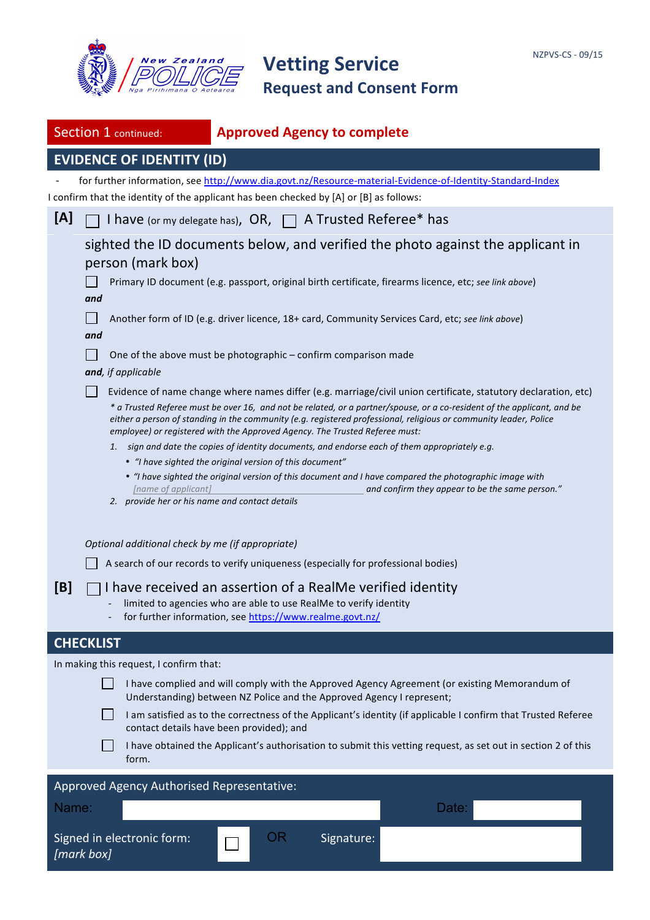

|                                                                                                                                                                        | Section 1 continued:                                                                                                                                                                                                                | <b>Approved Agency to complete</b>                                                                                                                                                                                                                                                                                                                             |  |  |  |  |  |
|------------------------------------------------------------------------------------------------------------------------------------------------------------------------|-------------------------------------------------------------------------------------------------------------------------------------------------------------------------------------------------------------------------------------|----------------------------------------------------------------------------------------------------------------------------------------------------------------------------------------------------------------------------------------------------------------------------------------------------------------------------------------------------------------|--|--|--|--|--|
|                                                                                                                                                                        | <b>EVIDENCE OF IDENTITY (ID)</b>                                                                                                                                                                                                    |                                                                                                                                                                                                                                                                                                                                                                |  |  |  |  |  |
|                                                                                                                                                                        |                                                                                                                                                                                                                                     | for further information, see http://www.dia.govt.nz/Resource-material-Evidence-of-Identity-Standard-Index                                                                                                                                                                                                                                                      |  |  |  |  |  |
|                                                                                                                                                                        |                                                                                                                                                                                                                                     | I confirm that the identity of the applicant has been checked by [A] or [B] as follows:                                                                                                                                                                                                                                                                        |  |  |  |  |  |
| [A]                                                                                                                                                                    |                                                                                                                                                                                                                                     | I have (or my delegate has), OR, □ A Trusted Referee* has                                                                                                                                                                                                                                                                                                      |  |  |  |  |  |
|                                                                                                                                                                        | person (mark box)                                                                                                                                                                                                                   | sighted the ID documents below, and verified the photo against the applicant in                                                                                                                                                                                                                                                                                |  |  |  |  |  |
|                                                                                                                                                                        | and                                                                                                                                                                                                                                 | Primary ID document (e.g. passport, original birth certificate, firearms licence, etc; see link above)                                                                                                                                                                                                                                                         |  |  |  |  |  |
|                                                                                                                                                                        | and                                                                                                                                                                                                                                 | Another form of ID (e.g. driver licence, 18+ card, Community Services Card, etc; see link above)                                                                                                                                                                                                                                                               |  |  |  |  |  |
|                                                                                                                                                                        | and, if applicable                                                                                                                                                                                                                  | One of the above must be photographic - confirm comparison made                                                                                                                                                                                                                                                                                                |  |  |  |  |  |
|                                                                                                                                                                        |                                                                                                                                                                                                                                     | Evidence of name change where names differ (e.g. marriage/civil union certificate, statutory declaration, etc)<br>* a Trusted Referee must be over 16, and not be related, or a partner/spouse, or a co-resident of the applicant, and be<br>either a person of standing in the community (e.g. registered professional, religious or community leader, Police |  |  |  |  |  |
|                                                                                                                                                                        |                                                                                                                                                                                                                                     | employee) or registered with the Approved Agency. The Trusted Referee must:<br>1. sign and date the copies of identity documents, and endorse each of them appropriately e.g.                                                                                                                                                                                  |  |  |  |  |  |
|                                                                                                                                                                        |                                                                                                                                                                                                                                     | • "I have sighted the original version of this document"                                                                                                                                                                                                                                                                                                       |  |  |  |  |  |
|                                                                                                                                                                        | • "I have sighted the original version of this document and I have compared the photographic image with<br>[name of applicant]<br>and confirm they appear to be the same person."<br>2. provide her or his name and contact details |                                                                                                                                                                                                                                                                                                                                                                |  |  |  |  |  |
|                                                                                                                                                                        | Optional additional check by me (if appropriate)<br>A search of our records to verify uniqueness (especially for professional bodies)                                                                                               |                                                                                                                                                                                                                                                                                                                                                                |  |  |  |  |  |
| [B]                                                                                                                                                                    |                                                                                                                                                                                                                                     | I have received an assertion of a RealMe verified identity<br>limited to agencies who are able to use RealMe to verify identity<br>for further information, see https://www.realme.govt.nz/                                                                                                                                                                    |  |  |  |  |  |
|                                                                                                                                                                        | <b>CHECKLIST</b>                                                                                                                                                                                                                    |                                                                                                                                                                                                                                                                                                                                                                |  |  |  |  |  |
|                                                                                                                                                                        | In making this request, I confirm that:                                                                                                                                                                                             |                                                                                                                                                                                                                                                                                                                                                                |  |  |  |  |  |
| I have complied and will comply with the Approved Agency Agreement (or existing Memorandum of<br>Understanding) between NZ Police and the Approved Agency I represent; |                                                                                                                                                                                                                                     |                                                                                                                                                                                                                                                                                                                                                                |  |  |  |  |  |
|                                                                                                                                                                        | I am satisfied as to the correctness of the Applicant's identity (if applicable I confirm that Trusted Referee<br>contact details have been provided); and                                                                          |                                                                                                                                                                                                                                                                                                                                                                |  |  |  |  |  |
|                                                                                                                                                                        | form.                                                                                                                                                                                                                               | I have obtained the Applicant's authorisation to submit this vetting request, as set out in section 2 of this                                                                                                                                                                                                                                                  |  |  |  |  |  |
|                                                                                                                                                                        | Approved Agency Authorised Representative:                                                                                                                                                                                          |                                                                                                                                                                                                                                                                                                                                                                |  |  |  |  |  |
| Name:                                                                                                                                                                  |                                                                                                                                                                                                                                     | Date:                                                                                                                                                                                                                                                                                                                                                          |  |  |  |  |  |
|                                                                                                                                                                        | Signed in electronic form:<br>[mark box]                                                                                                                                                                                            | OR<br>Signature:                                                                                                                                                                                                                                                                                                                                               |  |  |  |  |  |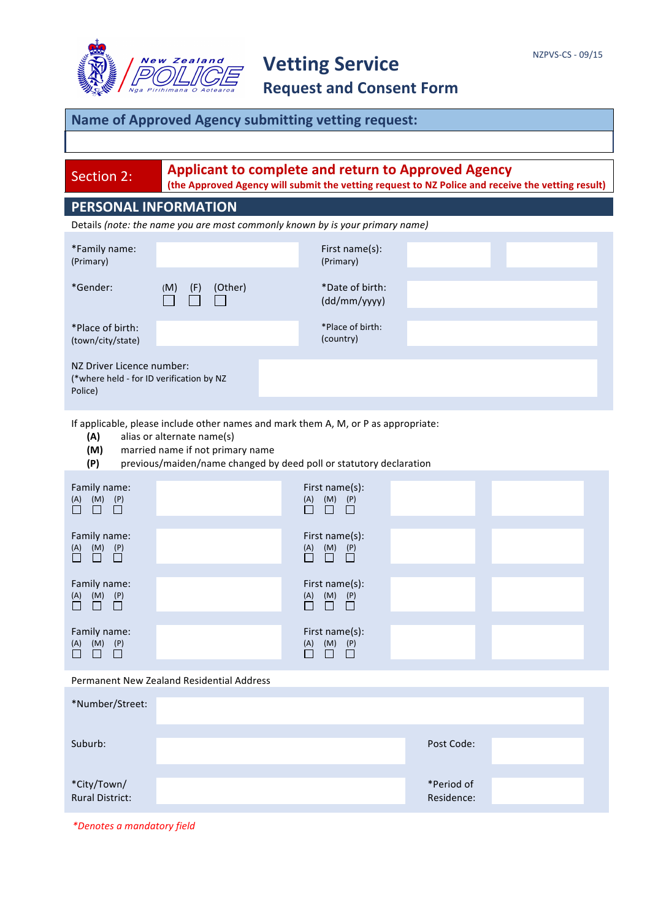

### **Name of Approved Agency submitting vetting request:**

Section 2: **Applicant to complete and return to Approved Agency** 

(the Approved Agency will submit the vetting request to NZ Police and receive the vetting result)

### **PERSONAL INFORMATION**

Details (note: the name you are most commonly known by is your primary name)

| *Family name:<br>(Primary)                                                       |                       | First name(s):<br>(Primary)     |  |  |  |  |
|----------------------------------------------------------------------------------|-----------------------|---------------------------------|--|--|--|--|
| *Gender:                                                                         | (F)<br>(Other)<br>(M) | *Date of birth:<br>(dd/mm/yyyy) |  |  |  |  |
| *Place of birth:<br>(town/city/state)                                            |                       | *Place of birth:<br>(country)   |  |  |  |  |
| NZ Driver Licence number:<br>(*where held - for ID verification by NZ<br>Police) |                       |                                 |  |  |  |  |

If applicable, please include other names and mark them A, M, or P as appropriate:

- **(A)** alias or alternate name(s)
- **(M)** married name if not primary name
- **(P)** previous/maiden/name changed by deed poll or statutory declaration

| Family name:<br>$\begin{matrix} (M) & (P) \\ \square & \square \end{matrix}$<br>(A)<br>$\Box$ $\Box$ |  | First name(s):<br>$\begin{matrix} (M) & (P) \\ \Box & \Box \end{matrix}$<br>(A)<br>$\Box$ |                          |  |  |  |
|------------------------------------------------------------------------------------------------------|--|-------------------------------------------------------------------------------------------|--------------------------|--|--|--|
| Family name:<br>$\begin{array}{ccc} (A) & (M) & (P) \\ \hline \end{array}$                           |  | First name(s):<br>$\overline{\Box}$<br>$\underline{(A)}$<br>$\Box$<br>$\Box$              |                          |  |  |  |
| Family name:<br>$\begin{matrix} (M) & (P) \\ \Box & \Box \end{matrix}$<br>$\overline{\Box}$          |  | First name(s):<br>$(M)$ $(P)$<br>(A)<br>$\Box$<br>П<br>П                                  |                          |  |  |  |
| Family name:<br>(M)<br>(P)<br>$\overline{\Box}$<br>$\Box$<br>$\Box$                                  |  | First name(s):<br>(M)<br>(P)<br>(A)<br>$\Box$<br>П<br>$\Box$                              |                          |  |  |  |
| Permanent New Zealand Residential Address                                                            |  |                                                                                           |                          |  |  |  |
| *Number/Street:                                                                                      |  |                                                                                           |                          |  |  |  |
| Suburb:                                                                                              |  |                                                                                           | Post Code:               |  |  |  |
| *City/Town/<br><b>Rural District:</b>                                                                |  |                                                                                           | *Period of<br>Residence: |  |  |  |

*\*Denotes a mandatory field*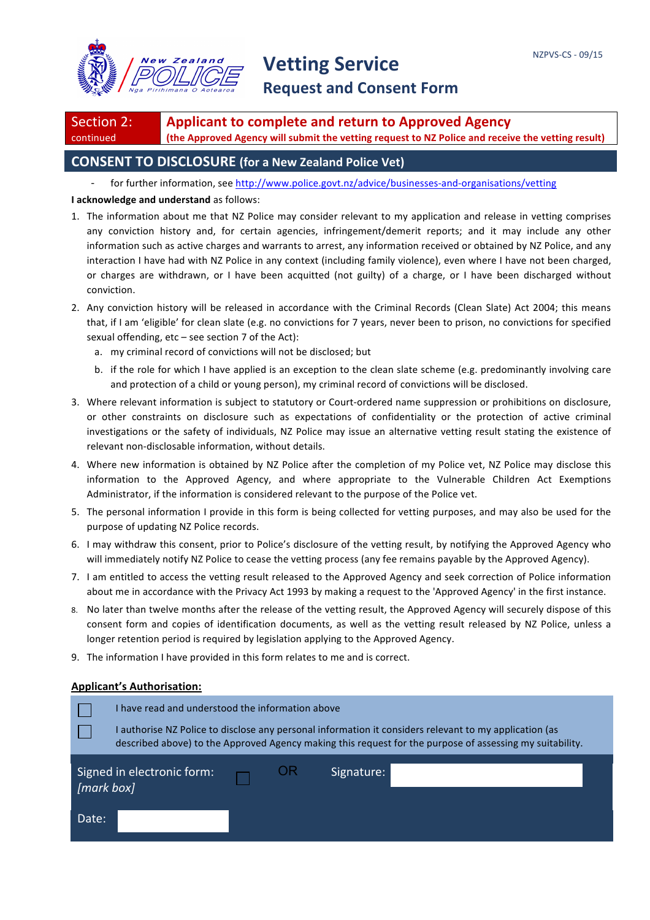

Section 2: continued **Applicant to complete and return to Approved Agency** (the Approved Agency will submit the vetting request to NZ Police and receive the vetting result)

### **CONSENT TO DISCLOSURE** (for a New Zealand Police Vet)

for further information, see http://www.police.govt.nz/advice/businesses-and-organisations/vetting

#### **I** acknowledge and understand as follows:

- 1. The information about me that NZ Police may consider relevant to my application and release in vetting comprises any conviction history and, for certain agencies, infringement/demerit reports; and it may include any other information such as active charges and warrants to arrest, any information received or obtained by NZ Police, and any interaction I have had with NZ Police in any context (including family violence), even where I have not been charged, or charges are withdrawn, or I have been acquitted (not guilty) of a charge, or I have been discharged without conviction.
- 2. Any conviction history will be released in accordance with the Criminal Records (Clean Slate) Act 2004; this means that, if I am 'eligible' for clean slate (e.g. no convictions for 7 years, never been to prison, no convictions for specified sexual offending,  $etc$  – see section  $7$  of the Act):
	- a. my criminal record of convictions will not be disclosed; but
	- b. if the role for which I have applied is an exception to the clean slate scheme (e.g. predominantly involving care and protection of a child or young person), my criminal record of convictions will be disclosed.
- 3. Where relevant information is subject to statutory or Court-ordered name suppression or prohibitions on disclosure, or other constraints on disclosure such as expectations of confidentiality or the protection of active criminal investigations or the safety of individuals, NZ Police may issue an alternative vetting result stating the existence of relevant non-disclosable information, without details.
- 4. Where new information is obtained by NZ Police after the completion of my Police vet, NZ Police may disclose this information to the Approved Agency, and where appropriate to the Vulnerable Children Act Exemptions Administrator, if the information is considered relevant to the purpose of the Police vet.
- 5. The personal information I provide in this form is being collected for vetting purposes, and may also be used for the purpose of updating NZ Police records.
- 6. I may withdraw this consent, prior to Police's disclosure of the vetting result, by notifying the Approved Agency who will immediately notify NZ Police to cease the vetting process (any fee remains payable by the Approved Agency).
- 7. I am entitled to access the vetting result released to the Approved Agency and seek correction of Police information about me in accordance with the Privacy Act 1993 by making a request to the 'Approved Agency' in the first instance.
- 8. No later than twelve months after the release of the vetting result, the Approved Agency will securely dispose of this consent form and copies of identification documents, as well as the vetting result released by NZ Police, unless a longer retention period is required by legislation applying to the Approved Agency.
- 9. The information I have provided in this form relates to me and is correct.

#### **Applicant's Authorisation:**

|            | I have read and understood the information above<br>authorise NZ Police to disclose any personal information it considers relevant to my application (as<br>described above) to the Approved Agency making this request for the purpose of assessing my suitability. |  |  |            |  |  |
|------------|----------------------------------------------------------------------------------------------------------------------------------------------------------------------------------------------------------------------------------------------------------------------|--|--|------------|--|--|
| [mark box] | Signed in electronic form:                                                                                                                                                                                                                                           |  |  | Signature: |  |  |
| Date:      |                                                                                                                                                                                                                                                                      |  |  |            |  |  |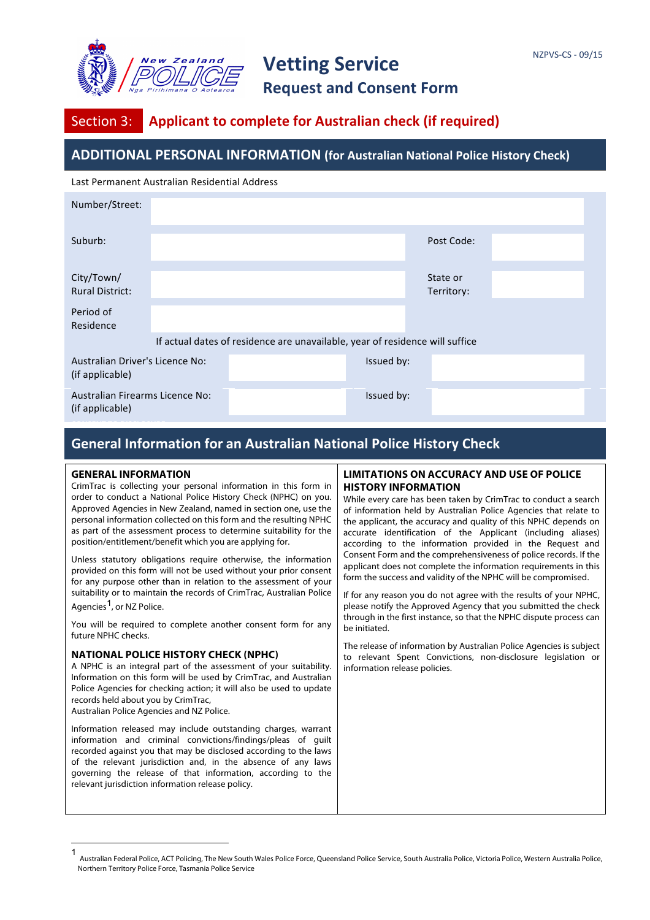

## Section 3: **Applicant to complete for Australian check (if required)**

### **ADDITIONAL PERSONAL INFORMATION (for Australian National Police History Check)**

Last Permanent Australian Residential Address

| Number/Street:                                     |                                                                              |  |            |                        |  |  |
|----------------------------------------------------|------------------------------------------------------------------------------|--|------------|------------------------|--|--|
| Suburb:                                            |                                                                              |  |            | Post Code:             |  |  |
| City/Town/<br><b>Rural District:</b>               |                                                                              |  |            | State or<br>Territory: |  |  |
| Period of<br>Residence                             |                                                                              |  |            |                        |  |  |
|                                                    | If actual dates of residence are unavailable, year of residence will suffice |  |            |                        |  |  |
| Australian Driver's Licence No:<br>(if applicable) |                                                                              |  | Issued by: |                        |  |  |
| Australian Firearms Licence No:<br>(if applicable) |                                                                              |  | Issued by: |                        |  |  |

### **General Information for an Australian National Police History Check**

#### **GENERAL INFORMATION**

CrimTrac is collecting your personal information in this form in order to conduct a National Police History Check (NPHC) on you. Approved Agencies in New Zealand, named in section one, use the personal information collected on this form and the resulting NPHC as part of the assessment process to determine suitability for the position/entitlement/benefit which you are applying for.

Unless statutory obligations require otherwise, the information provided on this form will not be used without your prior consent for any purpose other than in relation to the assessment of your suitability or to maintain the records of CrimTrac, Australian Police Agencies<sup>1</sup>, or NZ Police.

You will be required to complete another consent form for any future NPHC checks.

#### **NATIONAL POLICE HISTORY CHECK (NPHC)**

A NPHC is an integral part of the assessment of your suitability. Information on this form will be used by CrimTrac, and Australian Police Agencies for checking action; it will also be used to update records held about you by CrimTrac, Australian Police Agencies and NZ Police.

Information released may include outstanding charges, warrant

information and criminal convictions/findings/pleas of guilt recorded against you that may be disclosed according to the laws of the relevant jurisdiction and, in the absence of any laws governing the release of that information, according to the relevant jurisdiction information release policy.

#### **LIMITATIONS ON ACCURACY AND USE OF POLICE HISTORY INFORMATION**

While every care has been taken by CrimTrac to conduct a search of information held by Australian Police Agencies that relate to the applicant, the accuracy and quality of this NPHC depends on accurate identification of the Applicant (including aliases) according to the information provided in the Request and Consent Form and the comprehensiveness of police records. If the applicant does not complete the information requirements in this form the success and validity of the NPHC will be compromised.

If for any reason you do not agree with the results of your NPHC, please notify the Approved Agency that you submitted the check through in the first instance, so that the NPHC dispute process can be initiated.

The release of information by Australian Police Agencies is subject to relevant Spent Convictions, non-disclosure legislation or information release policies.

 $\frac{1}{1}$ Australian Federal Police, ACT Policing, The New South Wales Police Force, Queensland Police Service, South Australia Police, Victoria Police, Western Australia Police, Northern Territory Police Force, Tasmania Police Service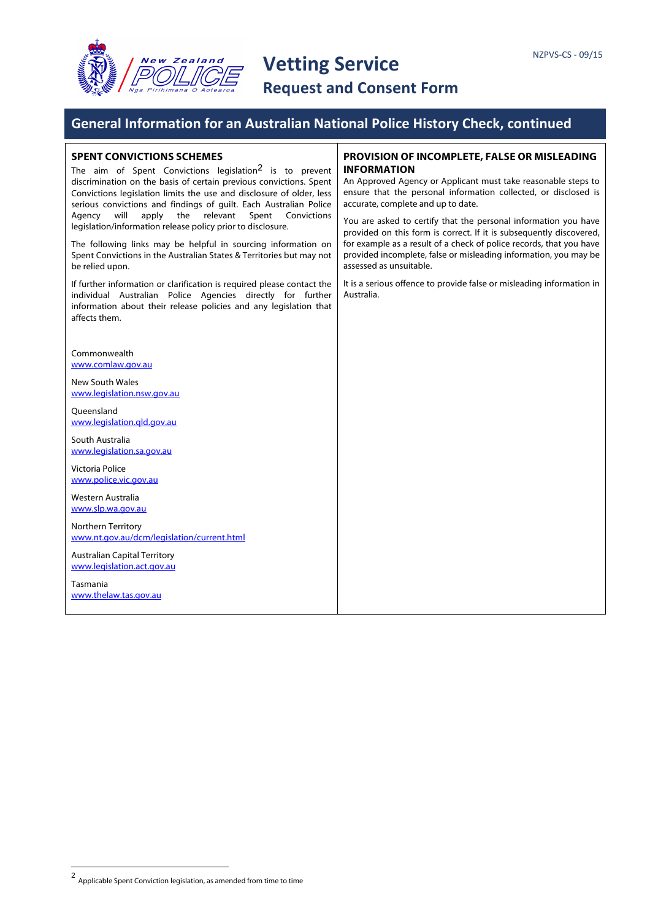

### **General Information for an Australian National Police History Check, continued**

#### **SPENT CONVICTIONS SCHEMES**

The aim of Spent Convictions legislation<sup>2</sup> is to prevent discrimination on the basis of certain previous convictions. Spent Convictions legislation limits the use and disclosure of older, less serious convictions and findings of guilt. Each Australian Police Agency will apply the relevant Spent Convictions legislation/information release policy prior to disclosure.

The following links may be helpful in sourcing information on Spent Convictions in the Australian States & Territories but may not be relied upon.

If further information or clarification is required please contact the individual Australian Police Agencies directly for further information about their release policies and any legislation that affects them.

Commonwealth www.comlaw.gov.au

New South Wales www.legislation.nsw.gov.au

**Oueensland** www.legislation.qld.gov.au

South Australia www.legislation.sa.gov.au

Victoria Police www.police.vic.gov.au

Western Australia www.slp.wa.gov.au

Northern Territory www.nt.gov.au/dcm/legislation/current.html

Australian Capital Territory www.legislation.act.gov.au

Tasmania www.thelaw.tas.gov.au

#### **PROVISION OF INCOMPLETE, FALSE OR MISLEADING INFORMATION**

An Approved Agency or Applicant must take reasonable steps to ensure that the personal information collected, or disclosed is accurate, complete and up to date.

You are asked to certify that the personal information you have provided on this form is correct. If it is subsequently discovered, for example as a result of a check of police records, that you have provided incomplete, false or misleading information, you may be assessed as unsuitable.

It is a serious offence to provide false or misleading information in Australia.

 $\frac{1}{2}$ Applicable Spent Conviction legislation, as amended from time to time